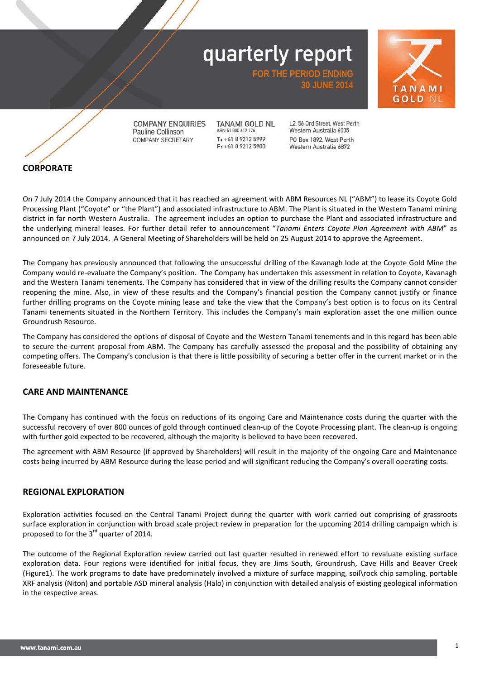**FOR THE PERIOD ENDI** 





**COMPANY ENQUIRIES** Pauline Collinson COMPANY SECRETARY

**TANAMI GOLD NL** ABN 51 000 617 176  $T: +61892125999$  $F: +61892125900$ 

12 56 Ord Street West Perth Western Australia 6005 PO Box 1892, West Perth Western Australia 6872

**30 JUNE 2014**

**CORPORATE** 

On 7 July 2014 the Company announced that it has reached an agreement with ABM Resources NL ("ABM") to lease its Coyote Gold Processing Plant ("Coyote" or "the Plant") and associated infrastructure to ABM. The Plant is situated in the Western Tanami mining district in far north Western Australia. The agreement includes an option to purchase the Plant and associated infrastructure and the underlying mineral leases. For further detail refer to announcement "*Tanami Enters Coyote Plan Agreement with ABM*" as announced on 7 July 2014. A General Meeting of Shareholders will be held on 25 August 2014 to approve the Agreement.

The Company has previously announced that following the unsuccessful drilling of the Kavanagh lode at the Coyote Gold Mine the Company would re-evaluate the Company's position. The Company has undertaken this assessment in relation to Coyote, Kavanagh and the Western Tanami tenements. The Company has considered that in view of the drilling results the Company cannot consider reopening the mine. Also, in view of these results and the Company's financial position the Company cannot justify or finance further drilling programs on the Coyote mining lease and take the view that the Company's best option is to focus on its Central Tanami tenements situated in the Northern Territory. This includes the Company's main exploration asset the one million ounce Groundrush Resource.

The Company has considered the options of disposal of Coyote and the Western Tanami tenements and in this regard has been able to secure the current proposal from ABM. The Company has carefully assessed the proposal and the possibility of obtaining any competing offers. The Company's conclusion is that there is little possibility of securing a better offer in the current market or in the foreseeable future.

#### **CARE AND MAINTENANCE**

The Company has continued with the focus on reductions of its ongoing Care and Maintenance costs during the quarter with the successful recovery of over 800 ounces of gold through continued clean-up of the Coyote Processing plant. The clean-up is ongoing with further gold expected to be recovered, although the majority is believed to have been recovered.

The agreement with ABM Resource (if approved by Shareholders) will result in the majority of the ongoing Care and Maintenance costs being incurred by ABM Resource during the lease period and will significant reducing the Company's overall operating costs.

#### **REGIONAL EXPLORATION**

Exploration activities focused on the Central Tanami Project during the quarter with work carried out comprising of grassroots surface exploration in conjunction with broad scale project review in preparation for the upcoming 2014 drilling campaign which is proposed to for the 3<sup>rd</sup> quarter of 2014.

The outcome of the Regional Exploration review carried out last quarter resulted in renewed effort to revaluate existing surface exploration data. Four regions were identified for initial focus, they are Jims South, Groundrush, Cave Hills and Beaver Creek (Figure1). The work programs to date have predominately involved a mixture of surface mapping, soil\rock chip sampling, portable XRF analysis (Niton) and portable ASD mineral analysis (Halo) in conjunction with detailed analysis of existing geological information in the respective areas.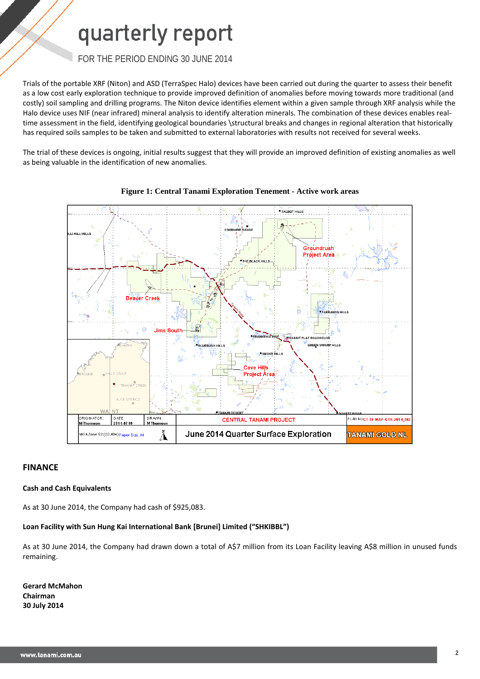### FOR THE PERIOD ENDING 30 JUNE 2014

Trials of the portable XRF (Niton) and ASD (TerraSpec Halo) devices have been carried out during the quarter to assess their benefit as a low cost early exploration technique to provide improved definition of anomalies before moving towards more traditional (and costly) soil sampling and drilling programs. The Niton device identifies element within a given sample through XRF analysis while the Halo device uses NIF (near infrared) mineral analysis to identify alteration minerals. The combination of these devices enables realtime assessment in the field, identifying geological boundaries \structural breaks and changes in regional alteration that historically has required soils samples to be taken and submitted to external laboratories with results not received for several weeks.

The trial of these devices is ongoing, initial results suggest that they will provide an improved definition of existing anomalies as well as being valuable in the identification of new anomalies.





#### **FINANCE**

#### **Cash and Cash Equivalents**

As at 30 June 2014, the Company had cash of \$925,083.

#### **Loan Facility with Sun Hung Kai International Bank [Brunei] Limited ("SHKIBBL")**

As at 30 June 2014, the Company had drawn down a total of A\$7 million from its Loan Facility leaving A\$8 million in unused funds remaining.

**Gerard McMahon Chairman 30 July 2014**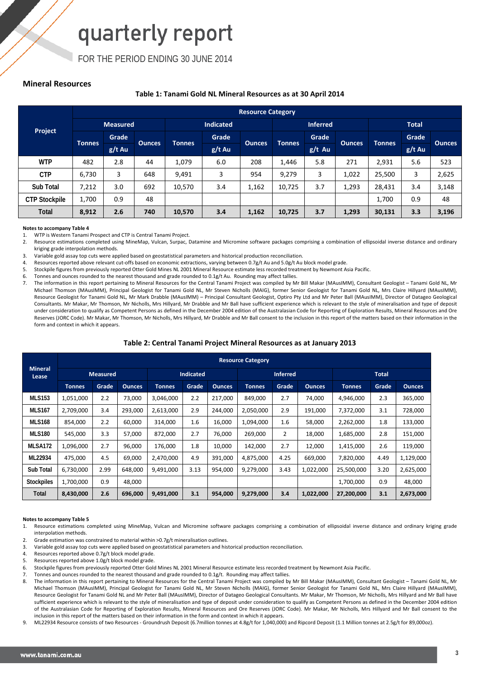FOR THE PERIOD ENDING 30 JUNE 2014

#### **Mineral Resources**

#### **Table 1: Tanami Gold NL Mineral Resources as at 30 April 2014**

|                      |                 | <b>Resource Category</b> |               |                  |          |               |                 |          |               |               |          |               |
|----------------------|-----------------|--------------------------|---------------|------------------|----------|---------------|-----------------|----------|---------------|---------------|----------|---------------|
|                      | <b>Measured</b> |                          |               | <b>Indicated</b> |          |               | <b>Inferred</b> |          |               | <b>Total</b>  |          |               |
| Project              | <b>Tonnes</b>   | Grade                    |               |                  | Grade    | <b>Ounces</b> | <b>Tonnes</b>   | Grade    |               | <b>Tonnes</b> | Grade    |               |
|                      |                 | $g/t$ Au                 | <b>Qunces</b> | <b>Tonnes</b>    | $g/t$ Au |               |                 | $g/t$ Au | <b>Ounces</b> |               | $g/t$ Au | <b>Ounces</b> |
| <b>WTP</b>           | 482             | 2.8                      | 44            | 1,079            | 6.0      | 208           | 1,446           | 5.8      | 271           | 2,931         | 5.6      | 523           |
| <b>CTP</b>           | 6,730           | 3                        | 648           | 9,491            | 3        | 954           | 9,279           | 3        | 1,022         | 25,500        | 3        | 2,625         |
| Sub Total            | 7,212           | 3.0                      | 692           | 10,570           | 3.4      | 1,162         | 10,725          | 3.7      | 1,293         | 28,431        | 3.4      | 3,148         |
| <b>CTP Stockpile</b> | 1.700           | 0.9                      | 48            |                  |          |               |                 |          |               | 1,700         | 0.9      | 48            |
| <b>Total</b>         | 8,912           | 2.6                      | 740           | 10,570           | 3.4      | 1,162         | 10,725          | 3.7      | 1,293         | 30,131        | 3.3      | 3,196         |

#### **Notes to accompany Table 4**

1. WTP is Western Tanami Prospect and CTP is Central Tanami Project.<br>2. Resource estimations completed using MineMap. Vulcan. Surpac.

Resource estimations completed using MineMap, Vulcan, Surpac, Datamine and Micromine software packages comprising a combination of ellipsoidal inverse distance and ordinary kriging grade interpolation methods.

3. Variable gold assay top cuts were applied based on geostatistical parameters and historical production reconciliation.<br>4. Resources reported above relevant cut-offs based on economic extractions, varying between 0.7g/t

Resources reported above relevant cut-offs based on economic extractions, varying between 0.7g/t Au and 5.0g/t Au block model grade.

5. Stockpile figures from previously reported Otter Gold Mines NL 2001 Mineral Resource estimate less recorded treatment by Newmont Asia Pacific.<br>6. Tonnes and ounces rounded to the nearest thousand and grade rounded to 0.

Tonnes and ounces rounded to the nearest thousand and grade rounded to 0.1g/t Au. Rounding may affect tallies.

7. The information in this report pertaining to Mineral Resources for the Central Tanami Project was compiled by Mr Bill Makar (MAusIMM), Consultant Geologist – Tanami Gold NL, Mr Michael Thomson (MAusIMM), Principal Geologist for Tanami Gold NL, Mr Steven Nicholls (MAIG), former Senior Geologist for Tanami Gold NL, Mrs Claire Hillyard (MAusIMM), Resource Geologist for Tanami Gold NL, Mr Mark Drabble (MAusIMM) – Principal Consultant Geologist, Optiro Pty Ltd and Mr Peter Ball (MAusIMM), Director of Datageo Geological Consultants. Mr Makar, Mr Thomson, Mr Nicholls, Mrs Hillyard, Mr Drabble and Mr Ball have sufficient experience which is relevant to the style of mineralisation and type of deposit under consideration to qualify as Competent Persons as defined in the December 2004 edition of the Australasian Code for Reporting of Exploration Results, Mineral Resources and Ore Reserves (JORC Code). Mr Makar, Mr Thomson, Mr Nicholls, Mrs Hillyard, Mr Drabble and Mr Ball consent to the inclusion in this report of the matters based on their information in the form and context in which it appears.

#### **Table 2: Central Tanami Project Mineral Resources as at January 2013**

|                         |                 | <b>Resource Category</b> |               |                  |       |               |                 |       |               |               |       |               |
|-------------------------|-----------------|--------------------------|---------------|------------------|-------|---------------|-----------------|-------|---------------|---------------|-------|---------------|
| <b>Mineral</b><br>Lease | <b>Measured</b> |                          |               | <b>Indicated</b> |       |               | <b>Inferred</b> |       |               | <b>Total</b>  |       |               |
|                         | <b>Tonnes</b>   | Grade                    | <b>Ounces</b> | <b>Tonnes</b>    | Grade | <b>Ounces</b> | <b>Tonnes</b>   | Grade | <b>Ounces</b> | <b>Tonnes</b> | Grade | <b>Ounces</b> |
| <b>MLS153</b>           | 1,051,000       | 2.2                      | 73,000        | 3,046,000        | 2.2   | 217,000       | 849,000         | 2.7   | 74,000        | 4,946,000     | 2.3   | 365,000       |
| <b>MLS167</b>           | 2,709,000       | 3.4                      | 293,000       | 2,613,000        | 2.9   | 244,000       | 2,050,000       | 2.9   | 191,000       | 7,372,000     | 3.1   | 728,000       |
| <b>MLS168</b>           | 854,000         | 2.2                      | 60,000        | 314,000          | 1.6   | 16,000        | 1,094,000       | 1.6   | 58,000        | 2,262,000     | 1.8   | 133,000       |
| <b>MLS180</b>           | 545,000         | 3.3                      | 57,000        | 872,000          | 2.7   | 76,000        | 269,000         | 2     | 18,000        | 1,685,000     | 2.8   | 151,000       |
| MLSA172                 | 1,096,000       | 2.7                      | 96.000        | 176,000          | 1.8   | 10,000        | 142,000         | 2.7   | 12,000        | 1,415,000     | 2.6   | 119,000       |
| ML22934                 | 475,000         | 4.5                      | 69,000        | 2,470,000        | 4.9   | 391,000       | 4,875,000       | 4.25  | 669,000       | 7,820,000     | 4.49  | 1,129,000     |
| Sub Total               | 6,730,000       | 2.99                     | 648,000       | 9,491,000        | 3.13  | 954,000       | 9,279,000       | 3.43  | 1,022,000     | 25,500,000    | 3.20  | 2,625,000     |
| <b>Stockpiles</b>       | 1,700,000       | 0.9                      | 48,000        |                  |       |               |                 |       |               | 1,700,000     | 0.9   | 48,000        |
| Total                   | 8,430,000       | 2.6                      | 696,000       | 9,491,000        | 3.1   | 954,000       | 9,279,000       | 3.4   | 1,022,000     | 27,200,000    | 3.1   | 2,673,000     |

#### **Notes to accompany Table 5**

1. Resource estimations completed using MineMap, Vulcan and Micromine software packages comprising a combination of ellipsoidal inverse distance and ordinary kriging grade interpolation methods.

2. Grade estimation was constrained to material within >0.7g/t mineralisation outlines.

- 3. Variable gold assay top cuts were applied based on geostatistical parameters and historical production reconciliation.
- 4. Resources reported above 0.7g/t block model grade.<br>5. Resources reported above 1.0g/t block model grade.

Resources reported above 1.0g/t block model grade.

6. Stockpile figures from previously reported Otter Gold Mines NL 2001 Mineral Resource estimate less recorded treatment by Newmont Asia Pacific.

7. Tonnes and ounces rounded to the nearest thousand and grade rounded to 0.1g/t. Rounding may affect tallies.

8. The information in this report pertaining to Mineral Resources for the Central Tanami Project was compiled by Mr Bill Makar (MAusIMM), Consultant Geologist – Tanami Gold NL, Mr Michael Thomson (MAusIMM), Principal Geologist for Tanami Gold NL, Mr Steven Nicholls (MAIG), former Senior Geologist for Tanami Gold NL, Mrs Claire Hillyard (MAusIMM), Resource Geologist for Tanami Gold NL and Mr Peter Ball (MAusIMM), Director of Datageo Geological Consultants. Mr Makar, Mr Thomson, Mr Nicholls, Mrs Hillyard and Mr Ball have sufficient experience which is relevant to the style of mineralisation and type of deposit under consideration to qualify as Competent Persons as defined in the December 2004 edition of the Australasian Code for Reporting of Exploration Results, Mineral Resources and Ore Reserves (JORC Code). Mr Makar, Mr Nicholls, Mrs Hillyard and Mr Ball consent to the inclusion in this report of the matters based on their information in the form and context in which it appears.

9. ML22934 Resource consists of two Resources - Groundrush Deposit (6.7million tonnes at 4.8g/t for 1,040,000) and Ripcord Deposit (1.1 Million tonnes at 2.5g/t for 89,000oz).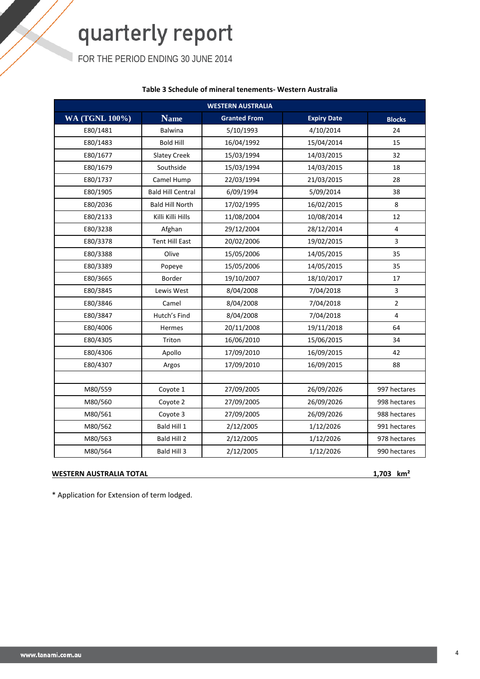FOR THE PERIOD ENDING 30 JUNE 2014

#### **Table 3 Schedule of mineral tenements- Western Australia**

| <b>WESTERN AUSTRALIA</b> |                          |                     |                    |                |  |  |  |  |
|--------------------------|--------------------------|---------------------|--------------------|----------------|--|--|--|--|
| <b>WA (TGNL 100%)</b>    | <b>Name</b>              | <b>Granted From</b> | <b>Expiry Date</b> | <b>Blocks</b>  |  |  |  |  |
| E80/1481                 | <b>Balwina</b>           | 5/10/1993           | 4/10/2014          | 24             |  |  |  |  |
| E80/1483                 | <b>Bold Hill</b>         | 16/04/1992          | 15/04/2014         | 15             |  |  |  |  |
| E80/1677                 | <b>Slatey Creek</b>      | 15/03/1994          | 14/03/2015         | 32             |  |  |  |  |
| E80/1679                 | Southside                | 15/03/1994          | 14/03/2015         | 18             |  |  |  |  |
| E80/1737                 | Camel Hump               | 22/03/1994          | 21/03/2015         | 28             |  |  |  |  |
| E80/1905                 | <b>Bald Hill Central</b> | 6/09/1994           | 5/09/2014          | 38             |  |  |  |  |
| E80/2036                 | <b>Bald Hill North</b>   | 17/02/1995          | 16/02/2015         | 8              |  |  |  |  |
| E80/2133                 | Killi Killi Hills        | 11/08/2004          | 10/08/2014         | 12             |  |  |  |  |
| E80/3238                 | Afghan                   | 29/12/2004          | 28/12/2014         | $\overline{4}$ |  |  |  |  |
| E80/3378                 | <b>Tent Hill East</b>    | 20/02/2006          | 19/02/2015         | $\overline{3}$ |  |  |  |  |
| E80/3388                 | Olive                    | 15/05/2006          | 14/05/2015         | 35             |  |  |  |  |
| E80/3389                 | Popeye                   | 15/05/2006          | 14/05/2015         | 35             |  |  |  |  |
| E80/3665                 | Border                   | 19/10/2007          | 18/10/2017         | 17             |  |  |  |  |
| E80/3845                 | Lewis West               | 8/04/2008           | 7/04/2018          | 3              |  |  |  |  |
| E80/3846                 | Camel                    | 8/04/2008           | 7/04/2018          | $\overline{2}$ |  |  |  |  |
| E80/3847                 | Hutch's Find             | 8/04/2008           | 7/04/2018          | 4              |  |  |  |  |
| E80/4006                 | Hermes                   | 20/11/2008          | 19/11/2018         | 64             |  |  |  |  |
| E80/4305                 | Triton                   | 16/06/2010          | 15/06/2015         | 34             |  |  |  |  |
| E80/4306                 | Apollo                   | 17/09/2010          | 16/09/2015         | 42             |  |  |  |  |
| E80/4307                 | Argos                    | 17/09/2010          | 16/09/2015         | 88             |  |  |  |  |
|                          |                          |                     |                    |                |  |  |  |  |
| M80/559                  | Coyote 1                 | 27/09/2005          | 26/09/2026         | 997 hectares   |  |  |  |  |
| M80/560                  | Coyote 2                 | 27/09/2005          | 26/09/2026         | 998 hectares   |  |  |  |  |
| M80/561                  | Coyote 3                 | 27/09/2005          | 26/09/2026         | 988 hectares   |  |  |  |  |
| M80/562                  | Bald Hill 1              | 2/12/2005           | 1/12/2026          | 991 hectares   |  |  |  |  |
| M80/563                  | Bald Hill 2              | 2/12/2005           | 1/12/2026          | 978 hectares   |  |  |  |  |
| M80/564                  | Bald Hill 3              | 2/12/2005           | 1/12/2026          | 990 hectares   |  |  |  |  |

#### **WESTERN AUSTRALIA TOTAL 1,703 km²**

\* Application for Extension of term lodged.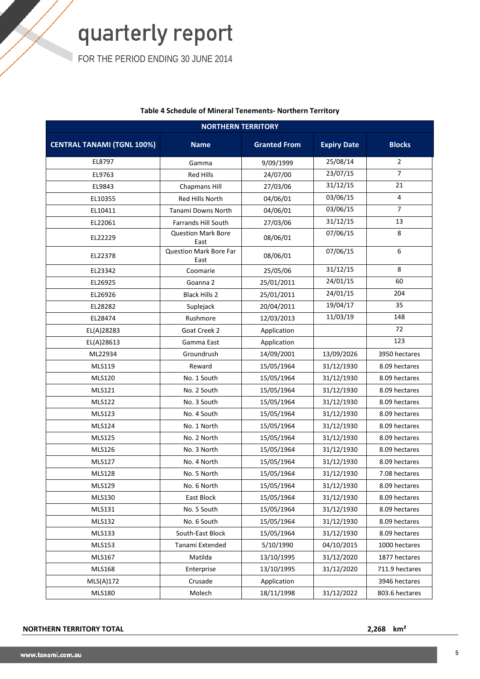FOR THE PERIOD ENDING 30 JUNE 2014

| <b>NORTHERN TERRITORY</b>         |                                       |                     |                    |                |  |  |  |  |  |
|-----------------------------------|---------------------------------------|---------------------|--------------------|----------------|--|--|--|--|--|
| <b>CENTRAL TANAMI (TGNL 100%)</b> | <b>Name</b>                           | <b>Granted From</b> | <b>Expiry Date</b> | <b>Blocks</b>  |  |  |  |  |  |
| EL8797                            | Gamma                                 | 9/09/1999           | 25/08/14           | $\overline{2}$ |  |  |  |  |  |
| EL9763                            | <b>Red Hills</b>                      | 24/07/00            | 23/07/15           | $\overline{7}$ |  |  |  |  |  |
| EL9843                            | Chapmans Hill                         | 27/03/06            | 31/12/15           | 21             |  |  |  |  |  |
| EL10355                           | Red Hills North                       | 04/06/01            | 03/06/15           | 4              |  |  |  |  |  |
| EL10411                           | Tanami Downs North                    | 04/06/01            | 03/06/15           | $\overline{7}$ |  |  |  |  |  |
| EL22061                           | <b>Farrands Hill South</b>            | 27/03/06            | 31/12/15           | 13             |  |  |  |  |  |
| EL22229                           | <b>Question Mark Bore</b><br>East     | 08/06/01            | 07/06/15           | 8              |  |  |  |  |  |
| EL22378                           | <b>Question Mark Bore Far</b><br>East | 08/06/01            | 07/06/15           | 6              |  |  |  |  |  |
| EL23342                           | Coomarie                              | 25/05/06            | 31/12/15           | 8              |  |  |  |  |  |
| EL26925                           | Goanna 2                              | 25/01/2011          | 24/01/15           | 60             |  |  |  |  |  |
| EL26926                           | <b>Black Hills 2</b>                  | 25/01/2011          | 24/01/15           | 204            |  |  |  |  |  |
| EL28282                           | Suplejack                             | 20/04/2011          | 19/04/17           | 35             |  |  |  |  |  |
| EL28474                           | Rushmore                              | 12/03/2013          | 11/03/19           | 148            |  |  |  |  |  |
| EL(A)28283                        | Goat Creek 2                          | Application         |                    | 72             |  |  |  |  |  |
| EL(A)28613                        | Gamma East                            | Application         |                    | 123            |  |  |  |  |  |
| ML22934                           | Groundrush                            | 14/09/2001          | 13/09/2026         | 3950 hectares  |  |  |  |  |  |
| MLS119                            | Reward                                | 15/05/1964          | 31/12/1930         | 8.09 hectares  |  |  |  |  |  |
| <b>MLS120</b>                     | No. 1 South                           | 15/05/1964          | 31/12/1930         | 8.09 hectares  |  |  |  |  |  |
| MLS121                            | No. 2 South                           | 15/05/1964          | 31/12/1930         | 8.09 hectares  |  |  |  |  |  |
| <b>MLS122</b>                     | No. 3 South                           | 15/05/1964          | 31/12/1930         | 8.09 hectares  |  |  |  |  |  |
| MLS123                            | No. 4 South                           | 15/05/1964          | 31/12/1930         | 8.09 hectares  |  |  |  |  |  |
| MLS124                            | No. 1 North                           | 15/05/1964          | 31/12/1930         | 8.09 hectares  |  |  |  |  |  |
| <b>MLS125</b>                     | No. 2 North                           | 15/05/1964          | 31/12/1930         | 8.09 hectares  |  |  |  |  |  |
| <b>MLS126</b>                     | No. 3 North                           | 15/05/1964          | 31/12/1930         | 8.09 hectares  |  |  |  |  |  |
| <b>MLS127</b>                     | No. 4 North                           | 15/05/1964          | 31/12/1930         | 8.09 hectares  |  |  |  |  |  |
| <b>MLS128</b>                     | No. 5 North                           | 15/05/1964          | 31/12/1930         | 7.08 hectares  |  |  |  |  |  |
| MLS129                            | No. 6 North                           | 15/05/1964          | 31/12/1930         | 8.09 hectares  |  |  |  |  |  |
| MLS130                            | East Block                            | 15/05/1964          | 31/12/1930         | 8.09 hectares  |  |  |  |  |  |
| MLS131                            | No. 5 South                           | 15/05/1964          | 31/12/1930         | 8.09 hectares  |  |  |  |  |  |
| MLS132                            | No. 6 South                           | 15/05/1964          | 31/12/1930         | 8.09 hectares  |  |  |  |  |  |
| <b>MLS133</b>                     | South-East Block                      | 15/05/1964          | 31/12/1930         | 8.09 hectares  |  |  |  |  |  |
| <b>MLS153</b>                     | Tanami Extended                       | 5/10/1990           | 04/10/2015         | 1000 hectares  |  |  |  |  |  |
| MLS167                            | Matilda                               | 13/10/1995          | 31/12/2020         | 1877 hectares  |  |  |  |  |  |
| <b>MLS168</b>                     | Enterprise                            | 13/10/1995          | 31/12/2020         | 711.9 hectares |  |  |  |  |  |
| MLS(A)172                         | Crusade                               | Application         |                    | 3946 hectares  |  |  |  |  |  |
| <b>MLS180</b>                     | Molech                                | 18/11/1998          | 31/12/2022         | 803.6 hectares |  |  |  |  |  |

#### **Table 4 Schedule of Mineral Tenements- Northern Territory**

#### **NORTHERN TERRITORY TOTAL 2,268 km²**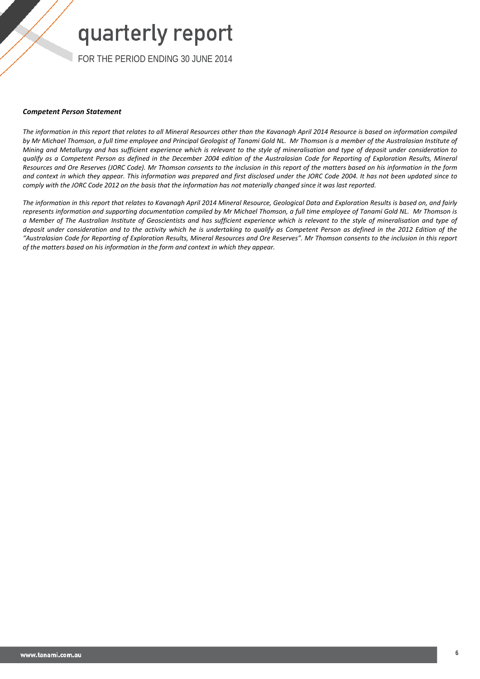FOR THE PERIOD ENDING 30 JUNE 2014

#### *Competent Person Statement*

*The information in this report that relates to all Mineral Resources other than the Kavanagh April 2014 Resource is based on information compiled*  by Mr Michael Thomson, a full time employee and Principal Geologist of Tanami Gold NL. Mr Thomson is a member of the Australasian Institute of *Mining and Metallurgy and has sufficient experience which is relevant to the style of mineralisation and type of deposit under consideration to qualify as a Competent Person as defined in the December 2004 edition of the Australasian Code for Reporting of Exploration Results, Mineral Resources and Ore Reserves (JORC Code). Mr Thomson consents to the inclusion in this report of the matters based on his information in the form and context in which they appear. This information was prepared and first disclosed under the JORC Code 2004. It has not been updated since to comply with the JORC Code 2012 on the basis that the information has not materially changed since it was last reported.*

*The information in this report that relates to Kavanagh April 2014 Mineral Resource, Geological Data and Exploration Results is based on, and fairly represents information and supporting documentation compiled by Mr Michael Thomson, a full time employee of Tanami Gold NL. Mr Thomson is a Member of The Australian Institute of Geoscientists and has sufficient experience which is relevant to the style of mineralisation and type of deposit under consideration and to the activity which he is undertaking to qualify as Competent Person as defined in the 2012 Edition of the "Australasian Code for Reporting of Exploration Results, Mineral Resources and Ore Reserves". Mr Thomson consents to the inclusion in this report of the matters based on his information in the form and context in which they appear.*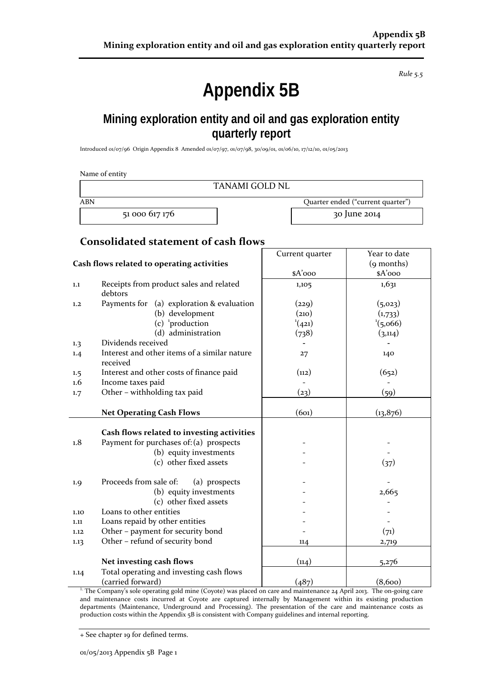*Rule 5.5*

## **Appendix 5B**

## **Mining exploration entity and oil and gas exploration entity quarterly report**

Introduced 01/07/96 Origin Appendix 8 Amended 01/07/97, 01/07/98, 30/09/01, 01/06/10, 17/12/10, 01/05/2013

|            | Name of entity                                                                        |                 |                                   |
|------------|---------------------------------------------------------------------------------------|-----------------|-----------------------------------|
|            | <b>TANAMI GOLD NL</b>                                                                 |                 |                                   |
| <b>ABN</b> |                                                                                       |                 | Quarter ended ("current quarter") |
|            | 51 000 617 176                                                                        |                 | 30 June 2014                      |
|            | <b>Consolidated statement of cash flows</b>                                           |                 |                                   |
|            |                                                                                       | Current quarter | Year to date                      |
|            | Cash flows related to operating activities                                            |                 | (9 months)                        |
|            |                                                                                       | $A'$ ooo        | \$A'ooo                           |
| 1.1        | Receipts from product sales and related<br>debtors                                    | 1,105           | 1,631                             |
| 1,2        | Payments for (a) exploration & evaluation                                             | (229)           | (5, 023)                          |
|            | (b) development                                                                       | (210)           | (1,733)                           |
|            | $(c)$ <sup>1</sup> production                                                         | (421)           | $^{1}(5,066)$                     |
|            | (d) administration                                                                    | (738)           | (3, 114)                          |
| 1.3        | Dividends received                                                                    |                 |                                   |
| 1.4        | Interest and other items of a similar nature<br>received                              | 27              | 140                               |
| 1.5        | Interest and other costs of finance paid                                              | (n2)            | (652)                             |
| 1.6        | Income taxes paid                                                                     |                 |                                   |
| 1.7        | Other - withholding tax paid                                                          | (23)            | (59)                              |
|            | <b>Net Operating Cash Flows</b>                                                       | (601)           | (13, 876)                         |
|            |                                                                                       |                 |                                   |
| 1.8        | Cash flows related to investing activities<br>Payment for purchases of: (a) prospects |                 |                                   |
|            |                                                                                       |                 |                                   |
|            | (b) equity investments<br>(c) other fixed assets                                      |                 |                                   |
|            |                                                                                       |                 | (37)                              |
| 1.9        | Proceeds from sale of:<br>(a) prospects                                               |                 |                                   |
|            | (b) equity investments                                                                |                 | 2,665                             |
|            | (c) other fixed assets                                                                |                 |                                   |
| 1.10       | Loans to other entities                                                               |                 |                                   |
| 1.11       | Loans repaid by other entities                                                        |                 |                                   |
| 1.12       | Other - payment for security bond                                                     |                 | (71)                              |
| 1.13       | Other - refund of security bond                                                       | 114             | 2,719                             |
|            | Net investing cash flows                                                              | (114)           | 5,276                             |
| 1.14       | Total operating and investing cash flows                                              |                 |                                   |
|            | (carried forward)                                                                     | (487)           | (8,600)                           |

<sup>1.</sup> The Company's sole operating gold mine (Coyote) was placed on care and maintenance 24 April 2013. The on-going care and maintenance costs incurred at Coyote are captured internally by Management within its existing production departments (Maintenance, Underground and Processing). The presentation of the care and maintenance costs as production costs within the Appendix 5B is consistent with Company guidelines and internal reporting.

+ See chapter 19 for defined terms.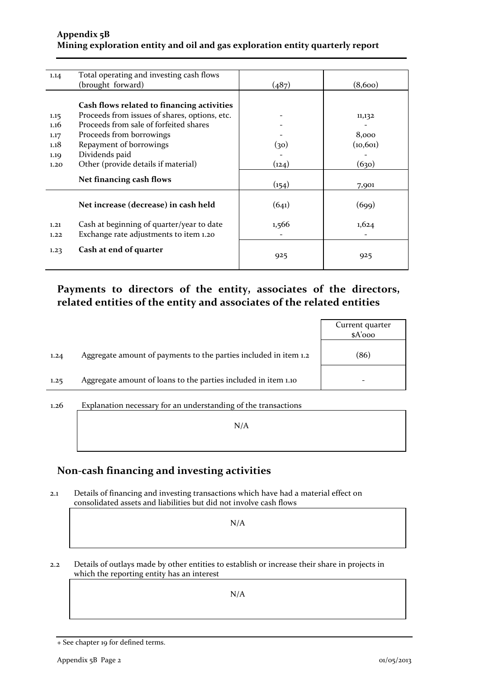#### **Appendix 5B Mining exploration entity and oil and gas exploration entity quarterly report**

| 1.14 | Total operating and investing cash flows      |       |           |
|------|-----------------------------------------------|-------|-----------|
|      | (brought forward)                             | (487) | (8,600)   |
|      |                                               |       |           |
|      | Cash flows related to financing activities    |       |           |
| 1.15 | Proceeds from issues of shares, options, etc. |       | 11,132    |
| 1.16 | Proceeds from sale of forfeited shares        |       |           |
| 1.17 | Proceeds from borrowings                      |       | 8,000     |
| 1.18 | Repayment of borrowings                       | (30)  | (10, 601) |
| 1.19 | Dividends paid                                |       |           |
| 1.20 | Other (provide details if material)           | (124) | (630)     |
|      |                                               |       |           |
|      | Net financing cash flows                      | (154) | 7,901     |
|      |                                               |       |           |
|      | Net increase (decrease) in cash held          | (641) | (699)     |
|      |                                               |       |           |
| 1.21 | Cash at beginning of quarter/year to date     | 1,566 | 1,624     |
| 1.22 | Exchange rate adjustments to item 1.20        |       |           |
|      |                                               |       |           |
| 1.23 | Cash at end of quarter                        | 925   | 925       |
|      |                                               |       |           |

### **Payments to directors of the entity, associates of the directors, related entities of the entity and associates of the related entities**

|      |                                                                  | Current quarter<br>$A'$ ooo |
|------|------------------------------------------------------------------|-----------------------------|
| 1,24 | Aggregate amount of payments to the parties included in item 1.2 | (86)                        |
| 1.25 | Aggregate amount of loans to the parties included in item 1.10   |                             |
|      |                                                                  |                             |

## 1.26 Explanation necessary for an understanding of the transactions N/A

### **Non-cash financing and investing activities**

2.1 Details of financing and investing transactions which have had a material effect on consolidated assets and liabilities but did not involve cash flows

N/A

2.2 Details of outlays made by other entities to establish or increase their share in projects in which the reporting entity has an interest

N/A

<sup>+</sup> See chapter 19 for defined terms.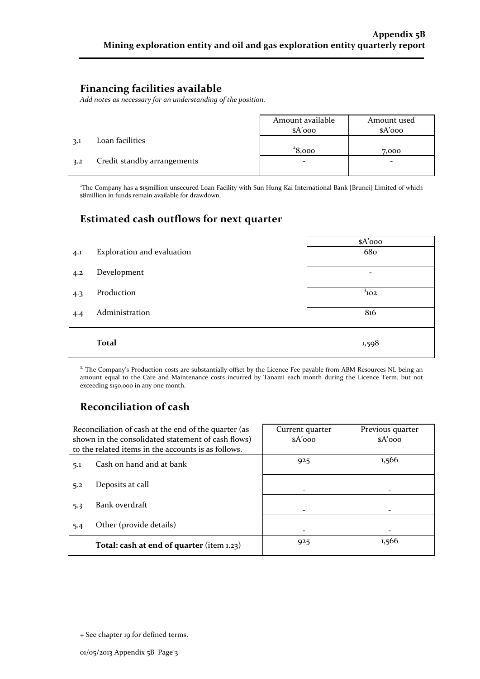### **Financing facilities available**

*Add notes as necessary for an understanding of the position.*

|     |                             | Amount available<br>$A'$ ooo | Amount used<br>$A'$ 000 |
|-----|-----------------------------|------------------------------|-------------------------|
| 3.1 | Loan facilities             |                              |                         |
|     |                             | 28,000                       | 7,000                   |
| 3.2 | Credit standby arrangements | -                            | -                       |
|     |                             |                              |                         |

2 The Company has a \$15million unsecured Loan Facility with Sun Hung Kai International Bank [Brunei] Limited of which \$8million in funds remain available for drawdown.

### **Estimated cash outflows for next quarter**

|     |                            | $A'$ 000  |
|-----|----------------------------|-----------|
| 4.1 | Exploration and evaluation | 680       |
| 4.2 | Development                | -         |
| 4.3 | Production                 | $3_{102}$ |
| 4.4 | Administration             | 816       |
|     | <b>Total</b>               | 1,598     |

<sup>3.</sup> The Company's Production costs are substantially offset by the Licence Fee payable from ABM Resources NL being an amount equal to the Care and Maintenance costs incurred by Tanami each month during the Licence Term, but not exceeding \$150,000 in any one month.

### **Reconciliation of cash**

| Reconciliation of cash at the end of the quarter (as<br>shown in the consolidated statement of cash flows)<br>to the related items in the accounts is as follows. | Current quarter<br>$A'$ 000 | Previous quarter<br>$A'$ 000 |
|-------------------------------------------------------------------------------------------------------------------------------------------------------------------|-----------------------------|------------------------------|
| Cash on hand and at bank<br>5.1                                                                                                                                   | 925                         | 1,566                        |
| Deposits at call<br>5.2                                                                                                                                           |                             |                              |
| Bank overdraft<br>5.3                                                                                                                                             |                             |                              |
| Other (provide details)<br>5.4                                                                                                                                    |                             |                              |
| Total: cash at end of quarter (item 1.23)                                                                                                                         | 925                         | 1,566                        |

<sup>+</sup> See chapter 19 for defined terms.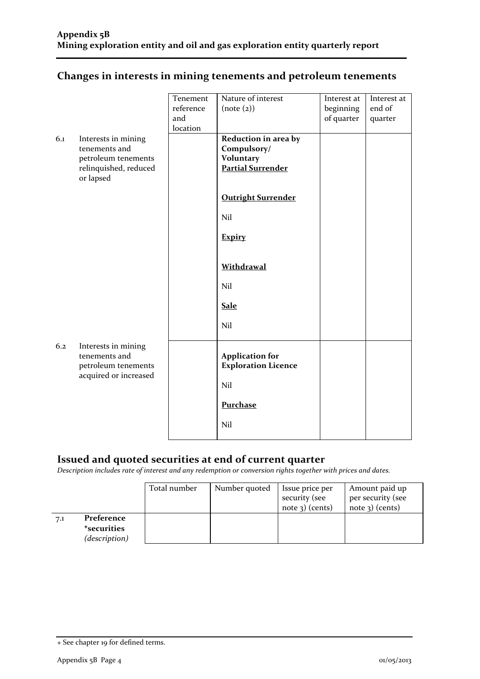|  | Changes in interests in mining tenements and petroleum tenements |  |
|--|------------------------------------------------------------------|--|
|  |                                                                  |  |

|     |                                                                                      | Tenement  | Nature of interest                                   | Interest at | Interest at |
|-----|--------------------------------------------------------------------------------------|-----------|------------------------------------------------------|-------------|-------------|
|     |                                                                                      | reference | (note (2))                                           | beginning   | end of      |
|     |                                                                                      | and       |                                                      | of quarter  | quarter     |
|     |                                                                                      | location  |                                                      |             |             |
| 6.1 | Interests in mining                                                                  |           | Reduction in area by                                 |             |             |
|     | tenements and                                                                        |           | Compulsory/                                          |             |             |
|     | petroleum tenements                                                                  |           | <b>Voluntary</b>                                     |             |             |
|     | relinquished, reduced                                                                |           | <b>Partial Surrender</b>                             |             |             |
|     | or lapsed                                                                            |           |                                                      |             |             |
|     |                                                                                      |           | <b>Outright Surrender</b>                            |             |             |
|     |                                                                                      |           | Nil                                                  |             |             |
|     |                                                                                      |           | <b>Expiry</b>                                        |             |             |
|     |                                                                                      |           | Withdrawal                                           |             |             |
|     |                                                                                      |           | Nil                                                  |             |             |
|     |                                                                                      |           | <b>Sale</b>                                          |             |             |
|     |                                                                                      |           | Nil                                                  |             |             |
| 6.2 | Interests in mining<br>tenements and<br>petroleum tenements<br>acquired or increased |           | <b>Application for</b><br><b>Exploration Licence</b> |             |             |
|     |                                                                                      |           | Nil                                                  |             |             |
|     |                                                                                      |           | Purchase                                             |             |             |
|     |                                                                                      |           | Nil                                                  |             |             |

### **Issued and quoted securities at end of current quarter**

*Description includes rate of interest and any redemption or conversion rights together with prices and dates.*

|     |                                            | Total number | Number quoted | Issue price per<br>security (see | Amount paid up<br>per security (see |
|-----|--------------------------------------------|--------------|---------------|----------------------------------|-------------------------------------|
|     |                                            |              |               | note $3$ ) (cents)               | $note$ 3) (cents)                   |
| 7.1 | Preference                                 |              |               |                                  |                                     |
|     | <i><b>*securities</b></i><br>(description) |              |               |                                  |                                     |

<sup>+</sup> See chapter 19 for defined terms.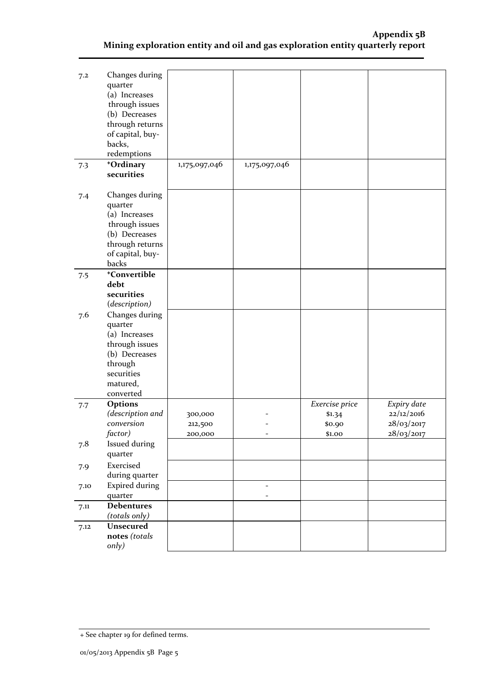| 7.2  | Changes during<br>quarter<br>(a) Increases<br>through issues<br>(b) Decreases<br>through returns<br>of capital, buy-<br>backs,<br>redemptions |                               |                          |                            |                                        |
|------|-----------------------------------------------------------------------------------------------------------------------------------------------|-------------------------------|--------------------------|----------------------------|----------------------------------------|
| 7.3  | +Ordinary<br>securities                                                                                                                       | 1,175,097,046                 | 1,175,097,046            |                            |                                        |
| 7.4  | Changes during<br>quarter<br>(a) Increases<br>through issues<br>(b) Decreases<br>through returns<br>of capital, buy-<br>backs                 |                               |                          |                            |                                        |
| 7.5  | +Convertible<br>debt<br>securities<br>(description)                                                                                           |                               |                          |                            |                                        |
| 7.6  | Changes during<br>quarter<br>(a) Increases<br>through issues<br>(b) Decreases<br>through<br>securities<br>matured,<br>converted               |                               |                          |                            |                                        |
| 7.7  | Options                                                                                                                                       |                               |                          | Exercise price             | Expiry date                            |
|      | (description and<br>conversion<br>factor)                                                                                                     | 300,000<br>212,500<br>200,000 |                          | \$1.34<br>\$0.90<br>\$1.00 | 22/12/2016<br>28/03/2017<br>28/03/2017 |
| 7.8  | <b>Issued during</b><br>quarter                                                                                                               |                               |                          |                            |                                        |
| 7.9  | Exercised<br>during quarter                                                                                                                   |                               |                          |                            |                                        |
| 7.10 | <b>Expired during</b><br>quarter                                                                                                              |                               | $\overline{\phantom{a}}$ |                            |                                        |
| 7.11 | <b>Debentures</b><br>(totals only)                                                                                                            |                               |                          |                            |                                        |
| 7.12 | <b>Unsecured</b><br>notes (totals<br>only)                                                                                                    |                               |                          |                            |                                        |

<sup>+</sup> See chapter 19 for defined terms.